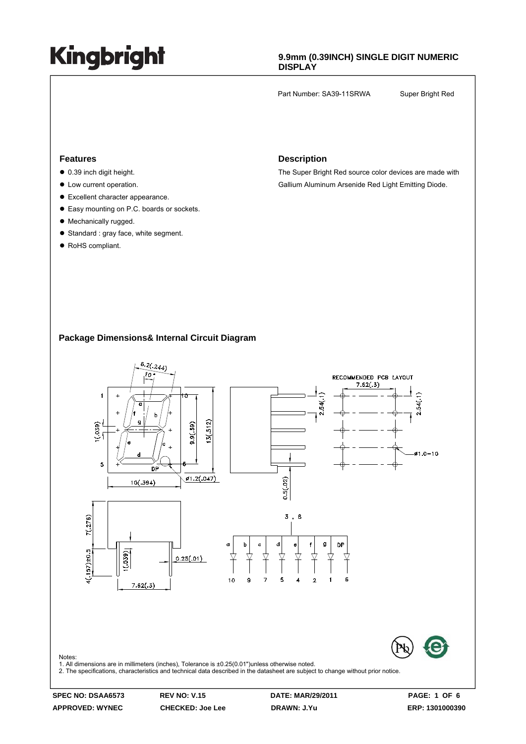### **9.9mm (0.39INCH) SINGLE DIGIT NUMERIC DISPLAY**

Part Number: SA39-11SRWA Super Bright Red

#### **Features**

- $\bullet$  0.39 inch digit height.
- $\bullet$  Low current operation.
- $\bullet$  Excellent character appearance.
- Easy mounting on P.C. boards or sockets.
- Mechanically rugged.
- $\bullet$  Standard : gray face, white segment.
- RoHS compliant.

#### **Description**

The Super Bright Red source color devices are made with Gallium Aluminum Arsenide Red Light Emitting Diode.

### **Package Dimensions& Internal Circuit Diagram**

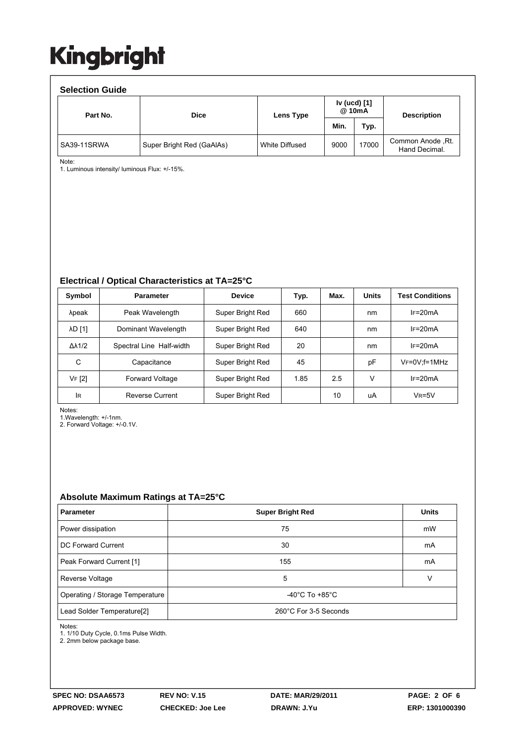| <b>Selection Guide</b> |                           |                |                        |       |                                    |  |  |  |  |
|------------------------|---------------------------|----------------|------------------------|-------|------------------------------------|--|--|--|--|
| Part No.               | <b>Dice</b>               | Lens Type      | Iv (ucd) [1]<br>@ 10mA |       | <b>Description</b>                 |  |  |  |  |
|                        |                           |                | Min.                   | Typ.  |                                    |  |  |  |  |
| SA39-11SRWA            | Super Bright Red (GaAlAs) | White Diffused | 9000                   | 17000 | Common Anode, Rt.<br>Hand Decimal. |  |  |  |  |

Note:

1. Luminous intensity/ luminous Flux: +/-15%.

#### **Electrical / Optical Characteristics at TA=25°C**

| Symbol              | <b>Parameter</b>         | <b>Device</b>    | Typ. | Max. | <b>Units</b> | <b>Test Conditions</b> |
|---------------------|--------------------------|------------------|------|------|--------------|------------------------|
| λpeak               | Peak Wavelength          | Super Bright Red | 660  |      | nm           | $IF=20mA$              |
| <b>AD [1]</b>       | Dominant Wavelength      | Super Bright Red | 640  |      | nm           | $IF=20mA$              |
| $\Delta\lambda$ 1/2 | Spectral Line Half-width | Super Bright Red | 20   |      | nm           | $IF=20mA$              |
| С                   | Capacitance              | Super Bright Red | 45   |      | pF           | $V_F = 0V$ : f = 1MHz  |
| VF [2]              | <b>Forward Voltage</b>   | Super Bright Red | 1.85 | 2.5  | v            | $IF=20mA$              |
| IR.                 | <b>Reverse Current</b>   | Super Bright Red |      | 10   | uA           | $V_R = 5V$             |

Notes:

1.Wavelength: +/-1nm.

2. Forward Voltage: +/-0.1V.

#### **Absolute Maximum Ratings at TA=25°C**

| <b>Parameter</b>                | <b>Super Bright Red</b>              | <b>Units</b> |  |
|---------------------------------|--------------------------------------|--------------|--|
| Power dissipation               | 75                                   | mW           |  |
| DC Forward Current              | 30                                   | mA           |  |
| Peak Forward Current [1]        | 155                                  | mA           |  |
| Reverse Voltage                 | 5                                    | v            |  |
| Operating / Storage Temperature | -40 $^{\circ}$ C To +85 $^{\circ}$ C |              |  |
| Lead Solder Temperature[2]      | 260°C For 3-5 Seconds                |              |  |

Notes:

1. 1/10 Duty Cycle, 0.1ms Pulse Width.

2. 2mm below package base.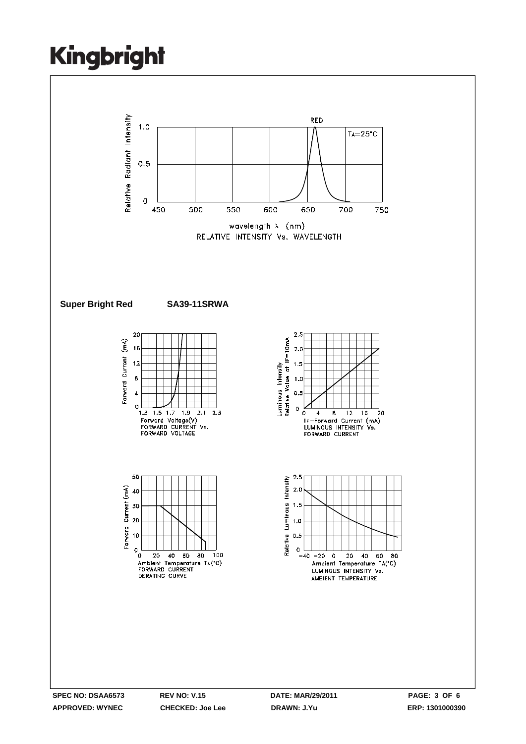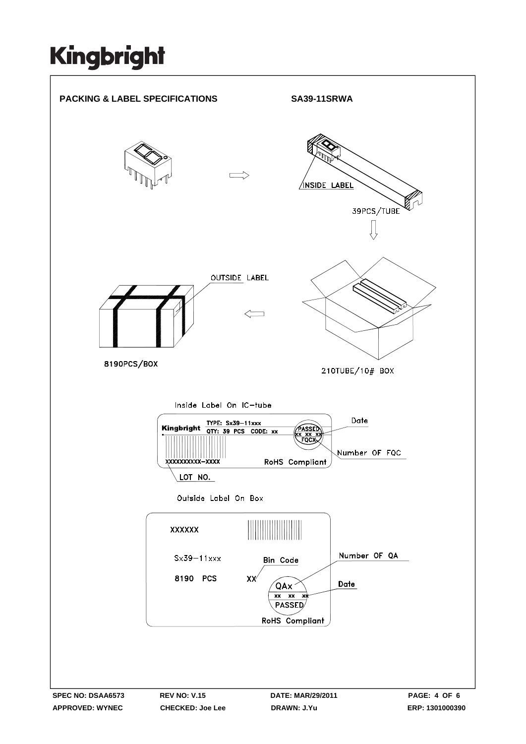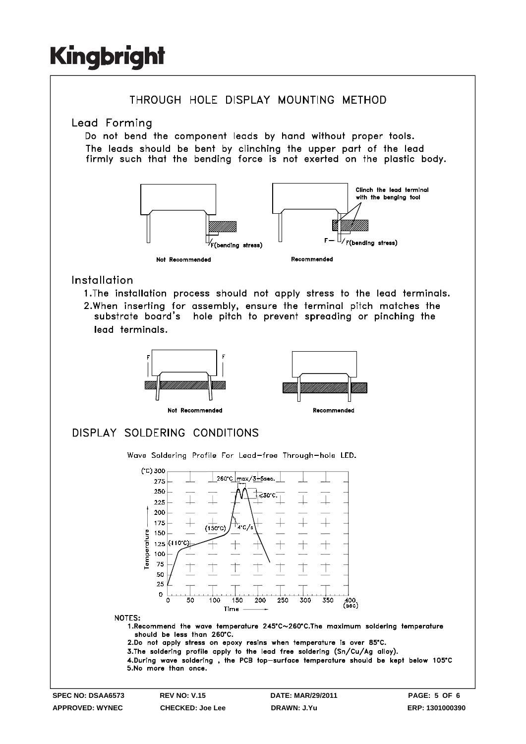